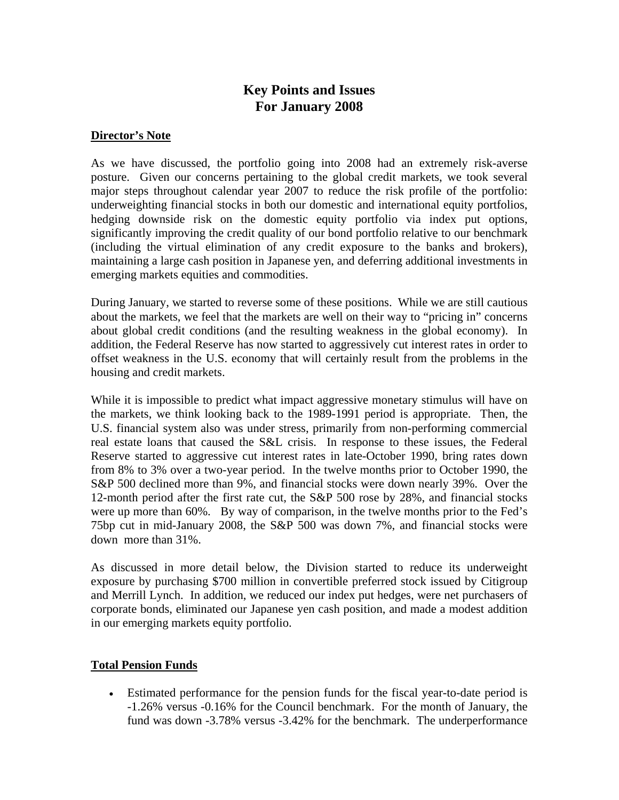# **Key Points and Issues For January 2008**

#### **Director's Note**

As we have discussed, the portfolio going into 2008 had an extremely risk-averse posture. Given our concerns pertaining to the global credit markets, we took several major steps throughout calendar year 2007 to reduce the risk profile of the portfolio: underweighting financial stocks in both our domestic and international equity portfolios, hedging downside risk on the domestic equity portfolio via index put options, significantly improving the credit quality of our bond portfolio relative to our benchmark (including the virtual elimination of any credit exposure to the banks and brokers), maintaining a large cash position in Japanese yen, and deferring additional investments in emerging markets equities and commodities.

During January, we started to reverse some of these positions. While we are still cautious about the markets, we feel that the markets are well on their way to "pricing in" concerns about global credit conditions (and the resulting weakness in the global economy). In addition, the Federal Reserve has now started to aggressively cut interest rates in order to offset weakness in the U.S. economy that will certainly result from the problems in the housing and credit markets.

While it is impossible to predict what impact aggressive monetary stimulus will have on the markets, we think looking back to the 1989-1991 period is appropriate. Then, the U.S. financial system also was under stress, primarily from non-performing commercial real estate loans that caused the S&L crisis. In response to these issues, the Federal Reserve started to aggressive cut interest rates in late-October 1990, bring rates down from 8% to 3% over a two-year period. In the twelve months prior to October 1990, the S&P 500 declined more than 9%, and financial stocks were down nearly 39%. Over the 12-month period after the first rate cut, the S&P 500 rose by 28%, and financial stocks were up more than 60%. By way of comparison, in the twelve months prior to the Fed's 75bp cut in mid-January 2008, the S&P 500 was down 7%, and financial stocks were down more than 31%.

As discussed in more detail below, the Division started to reduce its underweight exposure by purchasing \$700 million in convertible preferred stock issued by Citigroup and Merrill Lynch. In addition, we reduced our index put hedges, were net purchasers of corporate bonds, eliminated our Japanese yen cash position, and made a modest addition in our emerging markets equity portfolio.

#### **Total Pension Funds**

• Estimated performance for the pension funds for the fiscal year-to-date period is -1.26% versus -0.16% for the Council benchmark. For the month of January, the fund was down -3.78% versus -3.42% for the benchmark. The underperformance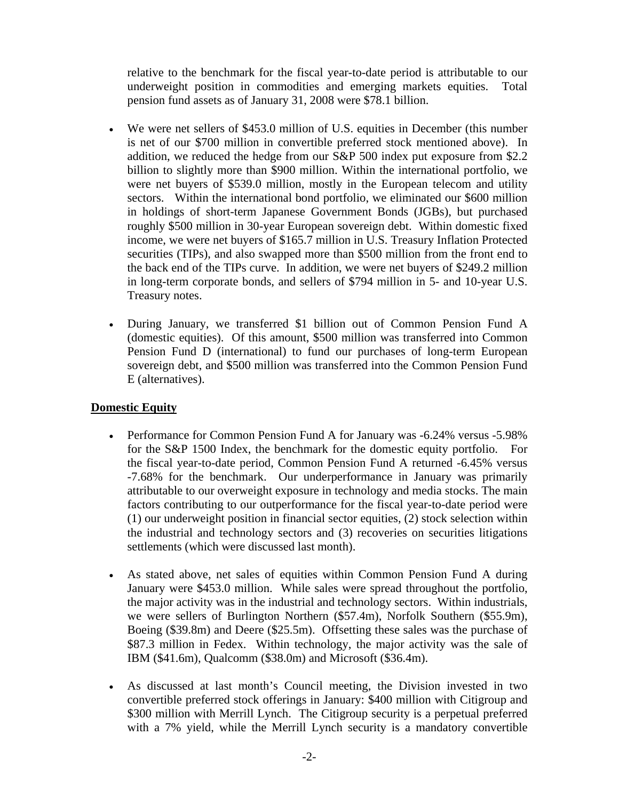relative to the benchmark for the fiscal year-to-date period is attributable to our underweight position in commodities and emerging markets equities. Total pension fund assets as of January 31, 2008 were \$78.1 billion.

- We were net sellers of \$453.0 million of U.S. equities in December (this number is net of our \$700 million in convertible preferred stock mentioned above). In addition, we reduced the hedge from our S&P 500 index put exposure from \$2.2 billion to slightly more than \$900 million. Within the international portfolio, we were net buyers of \$539.0 million, mostly in the European telecom and utility sectors. Within the international bond portfolio, we eliminated our \$600 million in holdings of short-term Japanese Government Bonds (JGBs), but purchased roughly \$500 million in 30-year European sovereign debt. Within domestic fixed income, we were net buyers of \$165.7 million in U.S. Treasury Inflation Protected securities (TIPs), and also swapped more than \$500 million from the front end to the back end of the TIPs curve. In addition, we were net buyers of \$249.2 million in long-term corporate bonds, and sellers of \$794 million in 5- and 10-year U.S. Treasury notes.
- During January, we transferred \$1 billion out of Common Pension Fund A (domestic equities). Of this amount, \$500 million was transferred into Common Pension Fund D (international) to fund our purchases of long-term European sovereign debt, and \$500 million was transferred into the Common Pension Fund E (alternatives).

## **Domestic Equity**

- Performance for Common Pension Fund A for January was -6.24% versus -5.98% for the S&P 1500 Index, the benchmark for the domestic equity portfolio. For the fiscal year-to-date period, Common Pension Fund A returned -6.45% versus -7.68% for the benchmark. Our underperformance in January was primarily attributable to our overweight exposure in technology and media stocks. The main factors contributing to our outperformance for the fiscal year-to-date period were (1) our underweight position in financial sector equities, (2) stock selection within the industrial and technology sectors and (3) recoveries on securities litigations settlements (which were discussed last month).
- As stated above, net sales of equities within Common Pension Fund A during January were \$453.0 million. While sales were spread throughout the portfolio, the major activity was in the industrial and technology sectors. Within industrials, we were sellers of Burlington Northern (\$57.4m), Norfolk Southern (\$55.9m), Boeing (\$39.8m) and Deere (\$25.5m). Offsetting these sales was the purchase of \$87.3 million in Fedex. Within technology, the major activity was the sale of IBM (\$41.6m), Qualcomm (\$38.0m) and Microsoft (\$36.4m).
- As discussed at last month's Council meeting, the Division invested in two convertible preferred stock offerings in January: \$400 million with Citigroup and \$300 million with Merrill Lynch. The Citigroup security is a perpetual preferred with a 7% yield, while the Merrill Lynch security is a mandatory convertible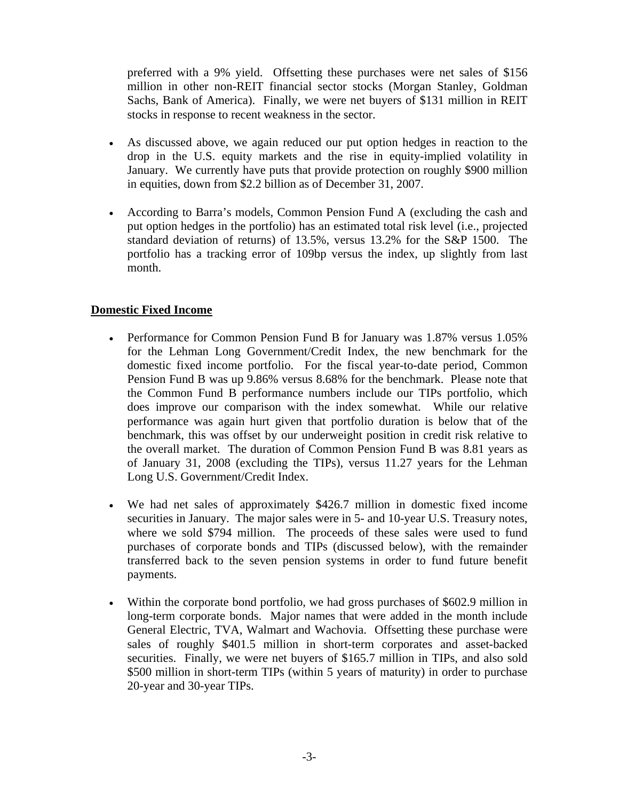preferred with a 9% yield. Offsetting these purchases were net sales of \$156 million in other non-REIT financial sector stocks (Morgan Stanley, Goldman Sachs, Bank of America). Finally, we were net buyers of \$131 million in REIT stocks in response to recent weakness in the sector.

- As discussed above, we again reduced our put option hedges in reaction to the drop in the U.S. equity markets and the rise in equity-implied volatility in January. We currently have puts that provide protection on roughly \$900 million in equities, down from \$2.2 billion as of December 31, 2007.
- According to Barra's models, Common Pension Fund A (excluding the cash and put option hedges in the portfolio) has an estimated total risk level (i.e., projected standard deviation of returns) of 13.5%, versus 13.2% for the S&P 1500. The portfolio has a tracking error of 109bp versus the index, up slightly from last month.

### **Domestic Fixed Income**

- Performance for Common Pension Fund B for January was 1.87% versus 1.05% for the Lehman Long Government/Credit Index, the new benchmark for the domestic fixed income portfolio. For the fiscal year-to-date period, Common Pension Fund B was up 9.86% versus 8.68% for the benchmark. Please note that the Common Fund B performance numbers include our TIPs portfolio, which does improve our comparison with the index somewhat. While our relative performance was again hurt given that portfolio duration is below that of the benchmark, this was offset by our underweight position in credit risk relative to the overall market. The duration of Common Pension Fund B was 8.81 years as of January 31, 2008 (excluding the TIPs), versus 11.27 years for the Lehman Long U.S. Government/Credit Index.
- We had net sales of approximately \$426.7 million in domestic fixed income securities in January. The major sales were in 5- and 10-year U.S. Treasury notes, where we sold \$794 million. The proceeds of these sales were used to fund purchases of corporate bonds and TIPs (discussed below), with the remainder transferred back to the seven pension systems in order to fund future benefit payments.
- Within the corporate bond portfolio, we had gross purchases of \$602.9 million in long-term corporate bonds. Major names that were added in the month include General Electric, TVA, Walmart and Wachovia. Offsetting these purchase were sales of roughly \$401.5 million in short-term corporates and asset-backed securities. Finally, we were net buyers of \$165.7 million in TIPs, and also sold \$500 million in short-term TIPs (within 5 years of maturity) in order to purchase 20-year and 30-year TIPs.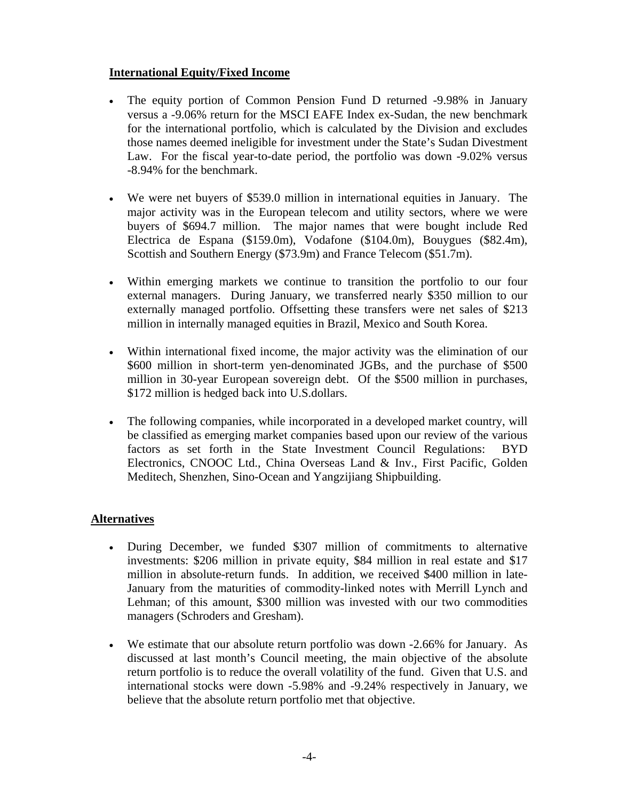## **International Equity/Fixed Income**

- The equity portion of Common Pension Fund D returned -9.98% in January versus a -9.06% return for the MSCI EAFE Index ex-Sudan, the new benchmark for the international portfolio, which is calculated by the Division and excludes those names deemed ineligible for investment under the State's Sudan Divestment Law. For the fiscal year-to-date period, the portfolio was down -9.02% versus -8.94% for the benchmark.
- We were net buyers of \$539.0 million in international equities in January. The major activity was in the European telecom and utility sectors, where we were buyers of \$694.7 million. The major names that were bought include Red Electrica de Espana (\$159.0m), Vodafone (\$104.0m), Bouygues (\$82.4m), Scottish and Southern Energy (\$73.9m) and France Telecom (\$51.7m).
- Within emerging markets we continue to transition the portfolio to our four external managers. During January, we transferred nearly \$350 million to our externally managed portfolio. Offsetting these transfers were net sales of \$213 million in internally managed equities in Brazil, Mexico and South Korea.
- Within international fixed income, the major activity was the elimination of our \$600 million in short-term yen-denominated JGBs, and the purchase of \$500 million in 30-year European sovereign debt. Of the \$500 million in purchases, \$172 million is hedged back into U.S.dollars.
- The following companies, while incorporated in a developed market country, will be classified as emerging market companies based upon our review of the various factors as set forth in the State Investment Council Regulations: BYD Electronics, CNOOC Ltd., China Overseas Land & Inv., First Pacific, Golden Meditech, Shenzhen, Sino-Ocean and Yangzijiang Shipbuilding.

## **Alternatives**

- During December, we funded \$307 million of commitments to alternative investments: \$206 million in private equity, \$84 million in real estate and \$17 million in absolute-return funds. In addition, we received \$400 million in late-January from the maturities of commodity-linked notes with Merrill Lynch and Lehman; of this amount, \$300 million was invested with our two commodities managers (Schroders and Gresham).
- We estimate that our absolute return portfolio was down -2.66% for January. As discussed at last month's Council meeting, the main objective of the absolute return portfolio is to reduce the overall volatility of the fund. Given that U.S. and international stocks were down -5.98% and -9.24% respectively in January, we believe that the absolute return portfolio met that objective.